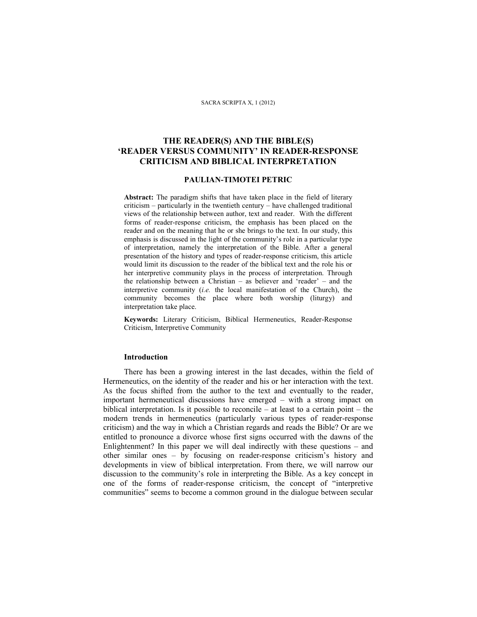#### SACRA SCRIPTA X, 1 (2012)

# **THE READER(S) AND THE BIBLE(S) 'READER VERSUS COMMUNITY' IN READER-RESPONSE CRITICISM AND BIBLICAL INTERPRETATION**

## **PAULIAN-TIMOTEI PETRIC**

**Abstract:** The paradigm shifts that have taken place in the field of literary criticism – particularly in the twentieth century – have challenged traditional views of the relationship between author, text and reader. With the different forms of reader-response criticism, the emphasis has been placed on the reader and on the meaning that he or she brings to the text. In our study, this emphasis is discussed in the light of the community's role in a particular type of interpretation, namely the interpretation of the Bible. After a general presentation of the history and types of reader-response criticism, this article would limit its discussion to the reader of the biblical text and the role his or her interpretive community plays in the process of interpretation. Through the relationship between a Christian – as believer and 'reader' – and the interpretive community (*i.e.* the local manifestation of the Church), the community becomes the place where both worship (liturgy) and interpretation take place.

**Keywords:** Literary Criticism, Biblical Hermeneutics, Reader-Response Criticism, Interpretive Community

### **Introduction**

There has been a growing interest in the last decades, within the field of Hermeneutics, on the identity of the reader and his or her interaction with the text. As the focus shifted from the author to the text and eventually to the reader, important hermeneutical discussions have emerged – with a strong impact on biblical interpretation. Is it possible to reconcile – at least to a certain point – the modern trends in hermeneutics (particularly various types of reader-response criticism) and the way in which a Christian regards and reads the Bible? Or are we entitled to pronounce a divorce whose first signs occurred with the dawns of the Enlightenment? In this paper we will deal indirectly with these questions – and other similar ones – by focusing on reader-response criticism's history and developments in view of biblical interpretation. From there, we will narrow our discussion to the community's role in interpreting the Bible. As a key concept in one of the forms of reader-response criticism, the concept of "interpretive communities" seems to become a common ground in the dialogue between secular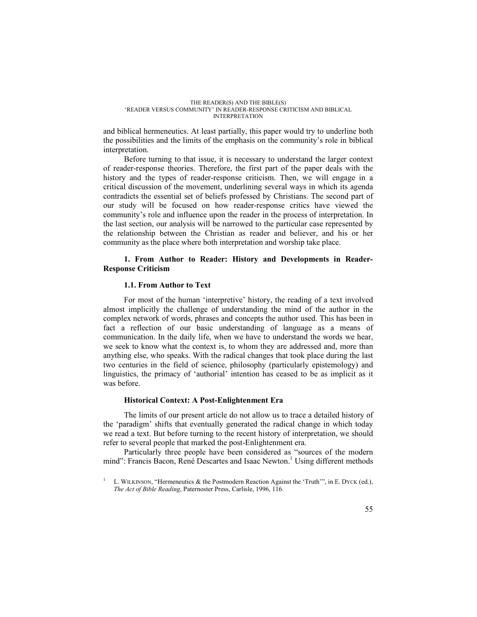and biblical hermeneutics. At least partially, this paper would try to underline both the possibilities and the limits of the emphasis on the community's role in biblical interpretation.

Before turning to that issue, it is necessary to understand the larger context of reader-response theories. Therefore, the first part of the paper deals with the history and the types of reader-response criticism. Then, we will engage in a critical discussion of the movement, underlining several ways in which its agenda contradicts the essential set of beliefs professed by Christians. The second part of our study will be focused on how reader-response critics have viewed the community's role and influence upon the reader in the process of interpretation. In the last section, our analysis will be narrowed to the particular case represented by the relationship between the Christian as reader and believer, and his or her community as the place where both interpretation and worship take place.

## **1. From Author to Reader: History and Developments in Reader-Response Criticism**

## **1.1. From Author to Text**

For most of the human 'interpretive' history, the reading of a text involved almost implicitly the challenge of understanding the mind of the author in the complex network of words, phrases and concepts the author used. This has been in fact a reflection of our basic understanding of language as a means of communication. In the daily life, when we have to understand the words we hear, we seek to know what the context is, to whom they are addressed and, more than anything else, who speaks. With the radical changes that took place during the last two centuries in the field of science, philosophy (particularly epistemology) and linguistics, the primacy of 'authorial' intention has ceased to be as implicit as it was before.

## **Historical Context: A Post-Enlightenment Era**

The limits of our present article do not allow us to trace a detailed history of the 'paradigm' shifts that eventually generated the radical change in which today we read a text. But before turning to the recent history of interpretation, we should refer to several people that marked the post-Enlightenment era.

Particularly three people have been considered as "sources of the modern mind": Francis Bacon, René Descartes and Isaac Newton.<sup>1</sup> Using different methods

<sup>1</sup> L. WILKINSON, "Hermeneutics & the Postmodern Reaction Against the 'Truth'", in E. DYCK (ed.), *The Act of Bible Reading*, Paternoster Press, Carlisle, 1996, 116.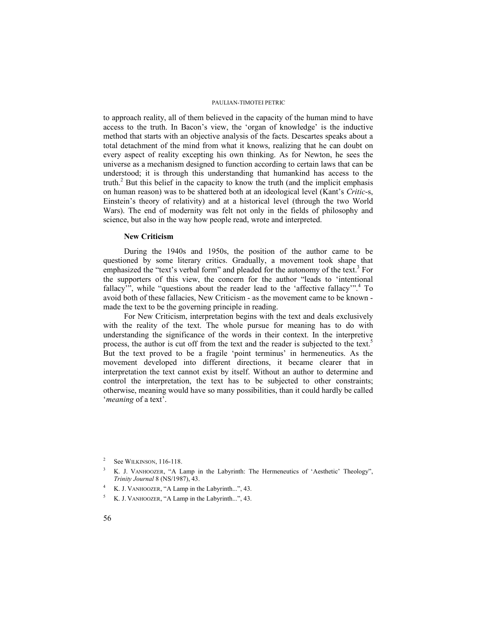to approach reality, all of them believed in the capacity of the human mind to have access to the truth. In Bacon's view, the 'organ of knowledge' is the inductive method that starts with an objective analysis of the facts. Descartes speaks about a total detachment of the mind from what it knows, realizing that he can doubt on every aspect of reality excepting his own thinking. As for Newton, he sees the universe as a mechanism designed to function according to certain laws that can be understood; it is through this understanding that humankind has access to the truth. $^{2}$  But this belief in the capacity to know the truth (and the implicit emphasis on human reason) was to be shattered both at an ideological level (Kant's *Critic*-s, Einstein's theory of relativity) and at a historical level (through the two World Wars). The end of modernity was felt not only in the fields of philosophy and science, but also in the way how people read, wrote and interpreted.

## **New Criticism**

During the 1940s and 1950s, the position of the author came to be questioned by some literary critics. Gradually, a movement took shape that emphasized the "text's verbal form" and pleaded for the autonomy of the text.<sup>3</sup> For the supporters of this view, the concern for the author "leads to 'intentional fallacy", while "questions about the reader lead to the 'affective fallacy".<sup>4</sup> To avoid both of these fallacies, New Criticism - as the movement came to be known made the text to be the governing principle in reading.

For New Criticism, interpretation begins with the text and deals exclusively with the reality of the text. The whole pursue for meaning has to do with understanding the significance of the words in their context. In the interpretive process, the author is cut off from the text and the reader is subjected to the text.<sup>5</sup> But the text proved to be a fragile 'point terminus' in hermeneutics. As the movement developed into different directions, it became clearer that in interpretation the text cannot exist by itself. Without an author to determine and control the interpretation, the text has to be subjected to other constraints; otherwise, meaning would have so many possibilities, than it could hardly be called '*meaning* of a text'.

<sup>2</sup> See WILKINSON, 116-118.

<sup>3</sup> K. J. VANHOOZER, "A Lamp in the Labyrinth: The Hermeneutics of 'Aesthetic' Theology", *Trinity Journal* 8 (NS/1987), 43.

<sup>4</sup> K. J. VANHOOZER, "A Lamp in the Labyrinth...", 43.

<sup>5</sup> K. J. VANHOOZER, "A Lamp in the Labyrinth...", 43.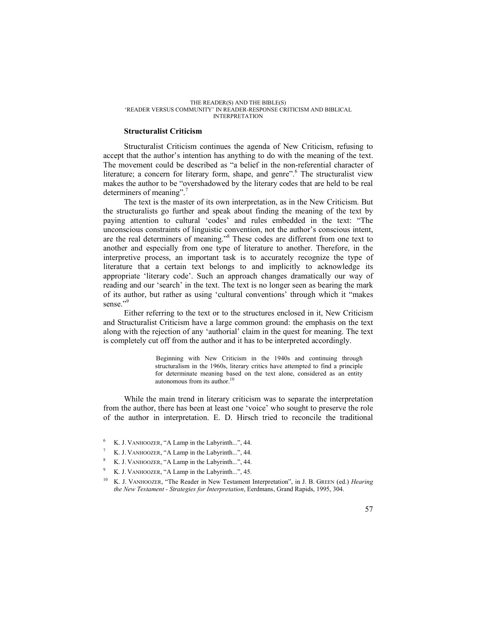### **Structuralist Criticism**

Structuralist Criticism continues the agenda of New Criticism, refusing to accept that the author's intention has anything to do with the meaning of the text. The movement could be described as "a belief in the non-referential character of literature; a concern for literary form, shape, and genre".<sup>6</sup> The structuralist view makes the author to be "overshadowed by the literary codes that are held to be real determiners of meaning".<sup>7</sup>

The text is the master of its own interpretation, as in the New Criticism. But the structuralists go further and speak about finding the meaning of the text by paying attention to cultural 'codes' and rules embedded in the text: "The unconscious constraints of linguistic convention, not the author's conscious intent, are the real determiners of meaning."<sup>8</sup> These codes are different from one text to another and especially from one type of literature to another. Therefore, in the interpretive process, an important task is to accurately recognize the type of literature that a certain text belongs to and implicitly to acknowledge its appropriate 'literary code'. Such an approach changes dramatically our way of reading and our 'search' in the text. The text is no longer seen as bearing the mark of its author, but rather as using 'cultural conventions' through which it "makes sense."<sup>9</sup>

Either referring to the text or to the structures enclosed in it, New Criticism and Structuralist Criticism have a large common ground: the emphasis on the text along with the rejection of any 'authorial' claim in the quest for meaning. The text is completely cut off from the author and it has to be interpreted accordingly.

> Beginning with New Criticism in the 1940s and continuing through structuralism in the 1960s, literary critics have attempted to find a principle for determinate meaning based on the text alone, considered as an entity autonomous from its author.<sup>10</sup>

While the main trend in literary criticism was to separate the interpretation from the author, there has been at least one 'voice' who sought to preserve the role of the author in interpretation. E. D. Hirsch tried to reconcile the traditional

- 6 K. J. VANHOOZER, "A Lamp in the Labyrinth...", 44.
- 7 K. J. VANHOOZER, "A Lamp in the Labyrinth...", 44.
- 8 K. J. VANHOOZER, "A Lamp in the Labyrinth...", 44.
- 9 K. J. VANHOOZER, "A Lamp in the Labyrinth...", 45.
- <sup>10</sup> K. J. VANHOOZER, "The Reader in New Testament Interpretation", in J. B. GREEN (ed.) *Hearing the New Testament - Strategies for Interpretation*, Eerdmans, Grand Rapids, 1995, 304.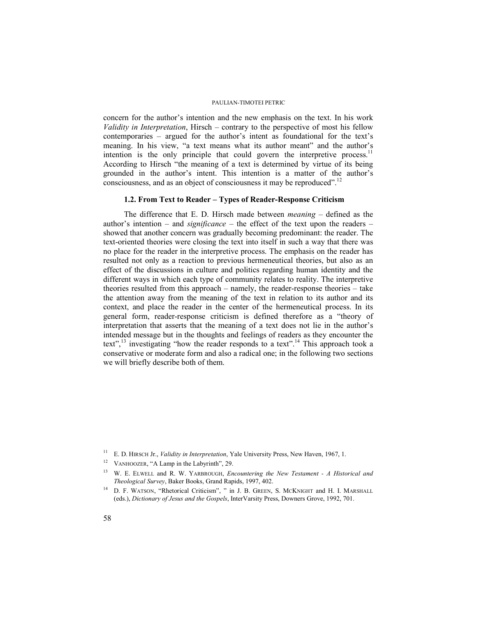concern for the author's intention and the new emphasis on the text. In his work *Validity in Interpretation*, Hirsch – contrary to the perspective of most his fellow contemporaries – argued for the author's intent as foundational for the text's meaning. In his view, "a text means what its author meant" and the author's intention is the only principle that could govern the interpretive process.<sup>11</sup> According to Hirsch "the meaning of a text is determined by virtue of its being grounded in the author's intent. This intention is a matter of the author's consciousness, and as an object of consciousness it may be reproduced".<sup>12</sup>

# **1.2. From Text to Reader – Types of Reader-Response Criticism**

The difference that E. D. Hirsch made between *meaning* – defined as the author's intention – and *significance* – the effect of the text upon the readers – showed that another concern was gradually becoming predominant: the reader. The text-oriented theories were closing the text into itself in such a way that there was no place for the reader in the interpretive process. The emphasis on the reader has resulted not only as a reaction to previous hermeneutical theories, but also as an effect of the discussions in culture and politics regarding human identity and the different ways in which each type of community relates to reality. The interpretive theories resulted from this approach – namely, the reader-response theories – take the attention away from the meaning of the text in relation to its author and its context, and place the reader in the center of the hermeneutical process. In its general form, reader-response criticism is defined therefore as a "theory of interpretation that asserts that the meaning of a text does not lie in the author's intended message but in the thoughts and feelings of readers as they encounter the text",<sup>13</sup> investigating "how the reader responds to a text".<sup>14</sup> This approach took a conservative or moderate form and also a radical one; in the following two sections we will briefly describe both of them.

<sup>11</sup> E. D. HIRSCH Jr., *Validity in Interpretation*, Yale University Press, New Haven, 1967, 1.

<sup>&</sup>lt;sup>12</sup> VANHOOZER, "A Lamp in the Labyrinth", 29.

<sup>13</sup> W. E. ELWELL and R. W. YARBROUGH, *Encountering the New Testament - A Historical and Theological Survey*, Baker Books, Grand Rapids, 1997, 402.

<sup>&</sup>lt;sup>14</sup> D. F. WATSON, "Rhetorical Criticism", " in J. B. GREEN, S. MCKNIGHT and H. I. MARSHALL (eds.), *Dictionary of Jesus and the Gospels*, InterVarsity Press, Downers Grove, 1992, 701.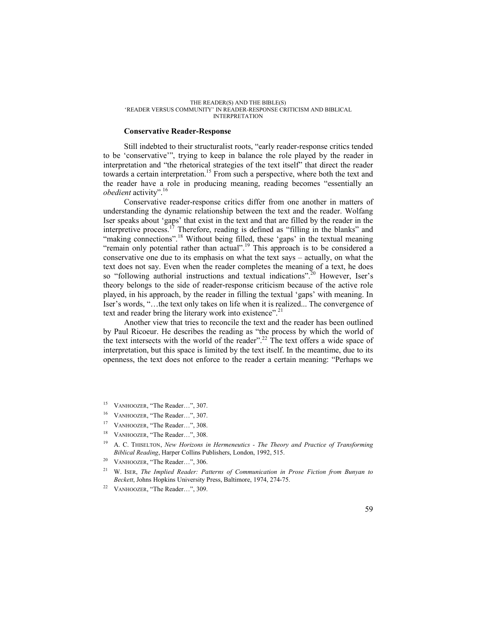### **Conservative Reader-Response**

Still indebted to their structuralist roots, "early reader-response critics tended to be 'conservative'", trying to keep in balance the role played by the reader in interpretation and "the rhetorical strategies of the text itself" that direct the reader towards a certain interpretation.<sup>15</sup> From such a perspective, where both the text and the reader have a role in producing meaning, reading becomes "essentially an *obedient* activity".<sup>16</sup>

Conservative reader-response critics differ from one another in matters of understanding the dynamic relationship between the text and the reader. Wolfang Iser speaks about 'gaps' that exist in the text and that are filled by the reader in the interpretive process.<sup>17</sup> Therefore, reading is defined as "filling in the blanks" and "making connections".<sup>18</sup> Without being filled, these 'gaps' in the textual meaning "remain only potential rather than actual".<sup>19</sup> This approach is to be considered a conservative one due to its emphasis on what the text says – actually, on what the text does not say. Even when the reader completes the meaning of a text, he does so "following authorial instructions and textual indications".<sup>20</sup> However, Iser's theory belongs to the side of reader-response criticism because of the active role played, in his approach, by the reader in filling the textual 'gaps' with meaning. In Iser's words, "…the text only takes on life when it is realized... The convergence of text and reader bring the literary work into existence".<sup>21</sup>

Another view that tries to reconcile the text and the reader has been outlined by Paul Ricoeur. He describes the reading as "the process by which the world of the text intersects with the world of the reader".<sup>22</sup> The text offers a wide space of interpretation, but this space is limited by the text itself. In the meantime, due to its openness, the text does not enforce to the reader a certain meaning: "Perhaps we

- <sup>15</sup> VANHOOZER, "The Reader…", 307.
- VANHOOZER, "The Reader...", 307.
- <sup>17</sup> VANHOOZER, "The Reader...", 308.
- <sup>18</sup> VANHOOZER, "The Reader…", 308.
- <sup>19</sup> A. C. THISELTON, *New Horizons in Hermeneutics The Theory and Practice of Transforming Biblical Reading*, Harper Collins Publishers, London, 1992, 515.
- <sup>20</sup> VANHOOZER, "The Reader...", 306.
- <sup>21</sup> W. ISER, *The Implied Reader: Patterns of Communication in Prose Fiction from Bunyan to Beckett*, Johns Hopkins University Press, Baltimore, 1974, 274-75.
- <sup>22</sup> VANHOOZER, "The Reader…", 309.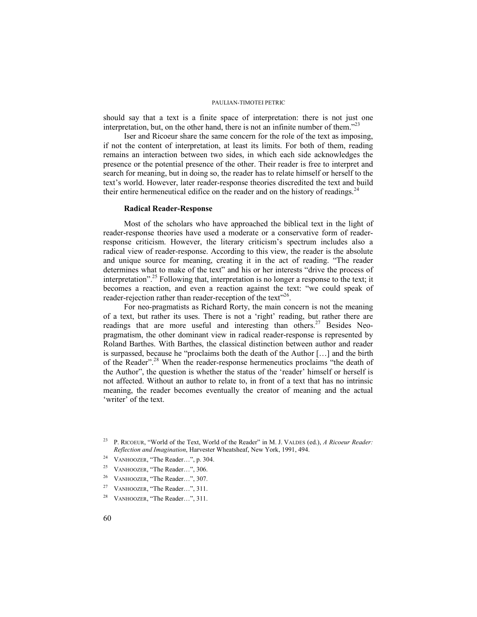should say that a text is a finite space of interpretation: there is not just one interpretation, but, on the other hand, there is not an infinite number of them."<sup>23</sup>

Iser and Ricoeur share the same concern for the role of the text as imposing, if not the content of interpretation, at least its limits. For both of them, reading remains an interaction between two sides, in which each side acknowledges the presence or the potential presence of the other. Their reader is free to interpret and search for meaning, but in doing so, the reader has to relate himself or herself to the text's world. However, later reader-response theories discredited the text and build their entire hermeneutical edifice on the reader and on the history of readings.<sup>24</sup>

### **Radical Reader-Response**

Most of the scholars who have approached the biblical text in the light of reader-response theories have used a moderate or a conservative form of readerresponse criticism. However, the literary criticism's spectrum includes also a radical view of reader-response. According to this view, the reader is the absolute and unique source for meaning, creating it in the act of reading. "The reader determines what to make of the text" and his or her interests "drive the process of interpretation".<sup>25</sup> Following that, interpretation is no longer a response to the text; it becomes a reaction, and even a reaction against the text: "we could speak of reader-rejection rather than reader-reception of the text"<sup>26</sup>.

For neo-pragmatists as Richard Rorty, the main concern is not the meaning of a text, but rather its uses. There is not a 'right' reading, but rather there are readings that are more useful and interesting than others.<sup>27</sup> Besides Neopragmatism, the other dominant view in radical reader-response is represented by Roland Barthes. With Barthes, the classical distinction between author and reader is surpassed, because he "proclaims both the death of the Author […] and the birth of the Reader".<sup>28</sup> When the reader-response hermeneutics proclaims "the death of the Author", the question is whether the status of the 'reader' himself or herself is not affected. Without an author to relate to, in front of a text that has no intrinsic meaning, the reader becomes eventually the creator of meaning and the actual 'writer' of the text.

- <sup>24</sup> VANHOOZER, "The Reader...", p. 304.
- <sup>25</sup> VANHOOZER, "The Reader...", 306.
- <sup>26</sup> VANHOOZER, "The Reader…", 307.
- <sup>27</sup> VANHOOZER, "The Reader…", 311.
- <sup>28</sup> VANHOOZER, "The Reader...", 311.

<sup>23</sup> P. RICOEUR, "World of the Text, World of the Reader" in M. J. VALDES (ed.), *A Ricoeur Reader: Reflection and Imagination*, Harvester Wheatsheaf, New York, 1991, 494.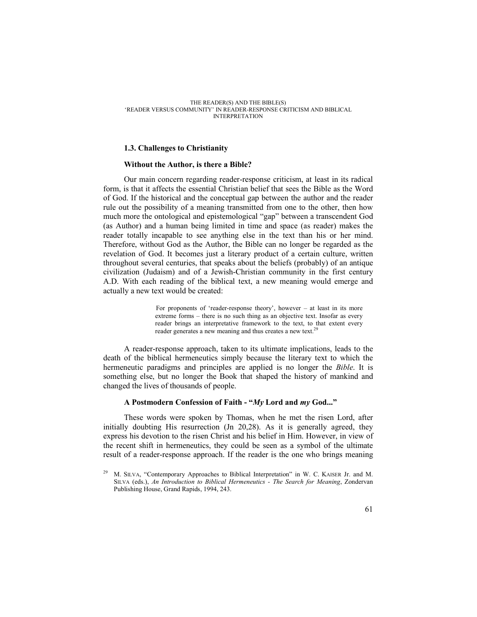### **1.3. Challenges to Christianity**

### **Without the Author, is there a Bible?**

Our main concern regarding reader-response criticism, at least in its radical form, is that it affects the essential Christian belief that sees the Bible as the Word of God. If the historical and the conceptual gap between the author and the reader rule out the possibility of a meaning transmitted from one to the other, then how much more the ontological and epistemological "gap" between a transcendent God (as Author) and a human being limited in time and space (as reader) makes the reader totally incapable to see anything else in the text than his or her mind. Therefore, without God as the Author, the Bible can no longer be regarded as the revelation of God. It becomes just a literary product of a certain culture, written throughout several centuries, that speaks about the beliefs (probably) of an antique civilization (Judaism) and of a Jewish-Christian community in the first century A.D. With each reading of the biblical text, a new meaning would emerge and actually a new text would be created:

> For proponents of 'reader-response theory', however – at least in its more extreme forms – there is no such thing as an objective text. Insofar as every reader brings an interpretative framework to the text, to that extent every reader generates a new meaning and thus creates a new text.<sup>21</sup>

A reader-response approach, taken to its ultimate implications, leads to the death of the biblical hermeneutics simply because the literary text to which the hermeneutic paradigms and principles are applied is no longer the *Bible*. It is something else, but no longer the Book that shaped the history of mankind and changed the lives of thousands of people.

## **A Postmodern Confession of Faith - "***My* **Lord and** *my* **God..."**

These words were spoken by Thomas, when he met the risen Lord, after initially doubting His resurrection (Jn 20,28). As it is generally agreed, they express his devotion to the risen Christ and his belief in Him. However, in view of the recent shift in hermeneutics, they could be seen as a symbol of the ultimate result of a reader-response approach. If the reader is the one who brings meaning

<sup>29</sup> M. SILVA, "Contemporary Approaches to Biblical Interpretation" in W. C. KAISER Jr. and M. SILVA (eds.), *An Introduction to Biblical Hermeneutics - The Search for Meaning*, Zondervan Publishing House, Grand Rapids, 1994, 243.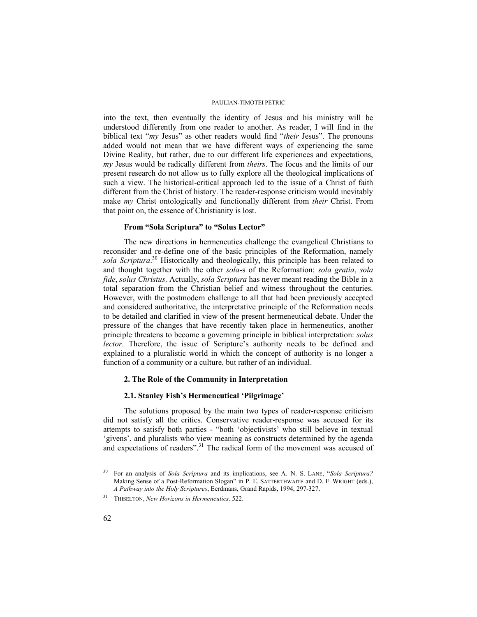into the text, then eventually the identity of Jesus and his ministry will be understood differently from one reader to another. As reader, I will find in the biblical text "*my* Jesus" as other readers would find "*their* Jesus". The pronouns added would not mean that we have different ways of experiencing the same Divine Reality, but rather, due to our different life experiences and expectations, *my* Jesus would be radically different from *theirs*. The focus and the limits of our present research do not allow us to fully explore all the theological implications of such a view. The historical-critical approach led to the issue of a Christ of faith different from the Christ of history. The reader-response criticism would inevitably make *my* Christ ontologically and functionally different from *their* Christ. From that point on, the essence of Christianity is lost.

# **From "Sola Scriptura" to "Solus Lector"**

The new directions in hermeneutics challenge the evangelical Christians to reconsider and re-define one of the basic principles of the Reformation, namely sola Scriptura.<sup>30</sup> Historically and theologically, this principle has been related to and thought together with the other *sola*-s of the Reformation: *sola gratia*, *sola fide*, *solus Christus*. Actually, *sola Scriptura* has never meant reading the Bible in a total separation from the Christian belief and witness throughout the centuries. However, with the postmodern challenge to all that had been previously accepted and considered authoritative, the interpretative principle of the Reformation needs to be detailed and clarified in view of the present hermeneutical debate. Under the pressure of the changes that have recently taken place in hermeneutics, another principle threatens to become a governing principle in biblical interpretation: *solus lector*. Therefore, the issue of Scripture's authority needs to be defined and explained to a pluralistic world in which the concept of authority is no longer a function of a community or a culture, but rather of an individual.

## **2. The Role of the Community in Interpretation**

## **2.1. Stanley Fish's Hermeneutical 'Pilgrimage'**

The solutions proposed by the main two types of reader-response criticism did not satisfy all the critics. Conservative reader-response was accused for its attempts to satisfy both parties - "both 'objectivists' who still believe in textual 'givens', and pluralists who view meaning as constructs determined by the agenda and expectations of readers".<sup>31</sup> The radical form of the movement was accused of

<sup>30</sup> For an analysis of *Sola Scriptura* and its implications, see A. N. S. LANE, "*Sola Scriptura?* Making Sense of a Post-Reformation Slogan" in P. E. SATTERTHWAITE and D. F. WRIGHT (eds.), *A Pathway into the Holy Scriptures*, Eerdmans, Grand Rapids, 1994, 297-327.

<sup>31</sup> THISELTON, *New Horizons in Hermeneutics,* 522.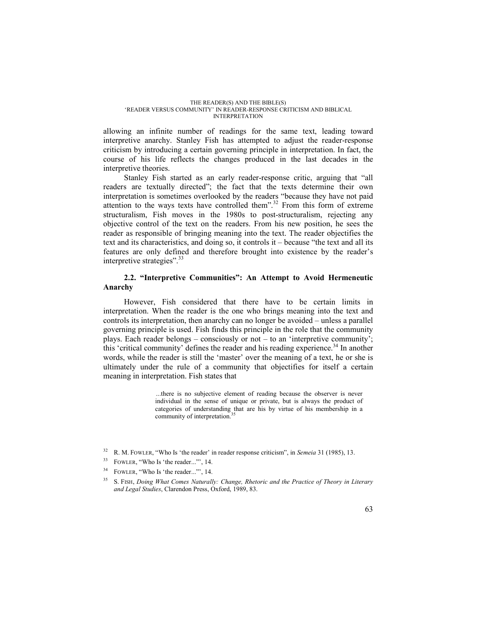allowing an infinite number of readings for the same text, leading toward interpretive anarchy. Stanley Fish has attempted to adjust the reader-response criticism by introducing a certain governing principle in interpretation. In fact, the course of his life reflects the changes produced in the last decades in the interpretive theories.

Stanley Fish started as an early reader-response critic, arguing that "all readers are textually directed"; the fact that the texts determine their own interpretation is sometimes overlooked by the readers "because they have not paid attention to the ways texts have controlled them".<sup>32</sup> From this form of extreme structuralism, Fish moves in the 1980s to post-structuralism, rejecting any objective control of the text on the readers. From his new position, he sees the reader as responsible of bringing meaning into the text. The reader objectifies the text and its characteristics, and doing so, it controls it – because "the text and all its features are only defined and therefore brought into existence by the reader's interpretive strategies".<sup>33</sup>

# **2.2. "Interpretive Communities": An Attempt to Avoid Hermeneutic Anarchy**

However, Fish considered that there have to be certain limits in interpretation. When the reader is the one who brings meaning into the text and controls its interpretation, then anarchy can no longer be avoided – unless a parallel governing principle is used. Fish finds this principle in the role that the community plays. Each reader belongs – consciously or not – to an 'interpretive community'; this 'critical community' defines the reader and his reading experience.<sup>34</sup> In another words, while the reader is still the 'master' over the meaning of a text, he or she is ultimately under the rule of a community that objectifies for itself a certain meaning in interpretation. Fish states that

> ...there is no subjective element of reading because the observer is never individual in the sense of unique or private, but is always the product of categories of understanding that are his by virtue of his membership in a community of interpretation.<sup>3</sup>

- <sup>34</sup> FOWLER, "Who Is 'the reader...", 14.
- <sup>35</sup> S. FISH, *Doing What Comes Naturally: Change, Rhetoric and the Practice of Theory in Literary and Legal Studies*, Clarendon Press, Oxford, 1989, 83.

<sup>32</sup> R. M. FOWLER, "Who Is 'the reader' in reader response criticism", in *Semeia* 31 (1985), 13.

<sup>&</sup>lt;sup>33</sup> FOWLER, "Who Is 'the reader...", 14.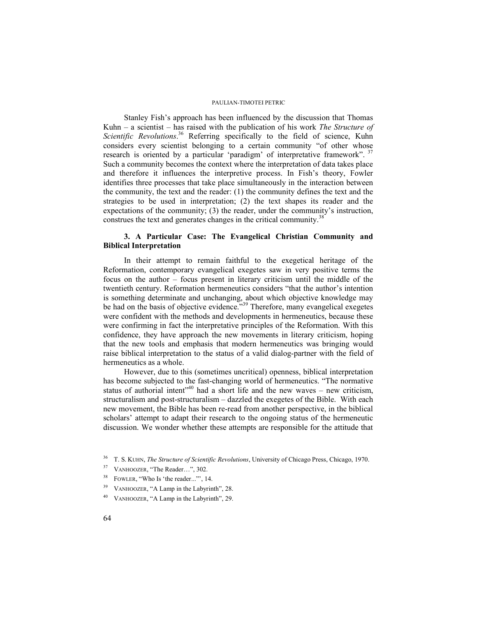Stanley Fish's approach has been influenced by the discussion that Thomas Kuhn – a scientist – has raised with the publication of his work *The Structure of*  Scientific Revolutions.<sup>36</sup> Referring specifically to the field of science, Kuhn considers every scientist belonging to a certain community "of other whose research is oriented by a particular 'paradigm' of interpretative framework".  $37$ Such a community becomes the context where the interpretation of data takes place and therefore it influences the interpretive process. In Fish's theory, Fowler identifies three processes that take place simultaneously in the interaction between the community, the text and the reader: (1) the community defines the text and the strategies to be used in interpretation; (2) the text shapes its reader and the expectations of the community; (3) the reader, under the community's instruction, construes the text and generates changes in the critical community.<sup>38</sup>

# **3. A Particular Case: The Evangelical Christian Community and Biblical Interpretation**

In their attempt to remain faithful to the exegetical heritage of the Reformation, contemporary evangelical exegetes saw in very positive terms the focus on the author – focus present in literary criticism until the middle of the twentieth century. Reformation hermeneutics considers "that the author's intention is something determinate and unchanging, about which objective knowledge may be had on the basis of objective evidence."<sup>39</sup> Therefore, many evangelical exegetes were confident with the methods and developments in hermeneutics, because these were confirming in fact the interpretative principles of the Reformation. With this confidence, they have approach the new movements in literary criticism, hoping that the new tools and emphasis that modern hermeneutics was bringing would raise biblical interpretation to the status of a valid dialog-partner with the field of hermeneutics as a whole.

However, due to this (sometimes uncritical) openness, biblical interpretation has become subjected to the fast-changing world of hermeneutics. "The normative status of authorial intent<sup>340</sup> had a short life and the new waves – new criticism, structuralism and post-structuralism – dazzled the exegetes of the Bible. With each new movement, the Bible has been re-read from another perspective, in the biblical scholars' attempt to adapt their research to the ongoing status of the hermeneutic discussion. We wonder whether these attempts are responsible for the attitude that

- <sup>38</sup> FOWLER, "Who Is 'the reader..."', 14.
- <sup>39</sup> VANHOOZER, "A Lamp in the Labyrinth", 28.
- <sup>40</sup> VANHOOZER, "A Lamp in the Labyrinth", 29.

<sup>36</sup> T. S. KUHN, *The Structure of Scientific Revolutions*, University of Chicago Press, Chicago, 1970.

<sup>37</sup> VANHOOZER, "The Reader…", 302.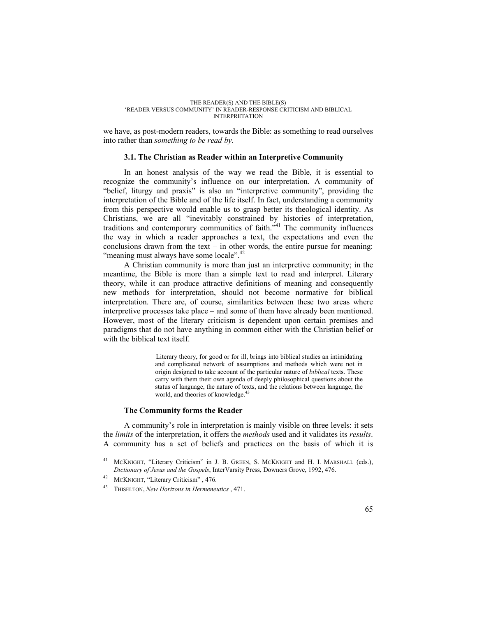we have, as post-modern readers, towards the Bible: as something to read ourselves into rather than *something to be read by*.

## **3.1. The Christian as Reader within an Interpretive Community**

In an honest analysis of the way we read the Bible, it is essential to recognize the community's influence on our interpretation. A community of "belief, liturgy and praxis" is also an "interpretive community", providing the interpretation of the Bible and of the life itself. In fact, understanding a community from this perspective would enable us to grasp better its theological identity. As Christians, we are all "inevitably constrained by histories of interpretation, traditions and contemporary communities of faith."<sup>41</sup> The community influences the way in which a reader approaches a text, the expectations and even the conclusions drawn from the text – in other words, the entire pursue for meaning: "meaning must always have some locale".<sup>42</sup>

A Christian community is more than just an interpretive community; in the meantime, the Bible is more than a simple text to read and interpret. Literary theory, while it can produce attractive definitions of meaning and consequently new methods for interpretation, should not become normative for biblical interpretation. There are, of course, similarities between these two areas where interpretive processes take place – and some of them have already been mentioned. However, most of the literary criticism is dependent upon certain premises and paradigms that do not have anything in common either with the Christian belief or with the biblical text itself.

> Literary theory, for good or for ill, brings into biblical studies an intimidating and complicated network of assumptions and methods which were not in origin designed to take account of the particular nature of *biblical* texts. These carry with them their own agenda of deeply philosophical questions about the status of language, the nature of texts, and the relations between language, the world, and theories of knowledge.<sup>43</sup>

## **The Community forms the Reader**

A community's role in interpretation is mainly visible on three levels: it sets the *limits* of the interpretation, it offers the *methods* used and it validates its *results*. A community has a set of beliefs and practices on the basis of which it is

- <sup>42</sup> MCKNIGHT, "Literary Criticism" , 476.
- <sup>43</sup> THISELTON, *New Horizons in Hermeneutics* , 471.

<sup>&</sup>lt;sup>41</sup> MCKNIGHT, "Literary Criticism" in J. B. GREEN, S. MCKNIGHT and H. I. MARSHALL (eds.), *Dictionary of Jesus and the Gospels*, InterVarsity Press, Downers Grove, 1992, 476.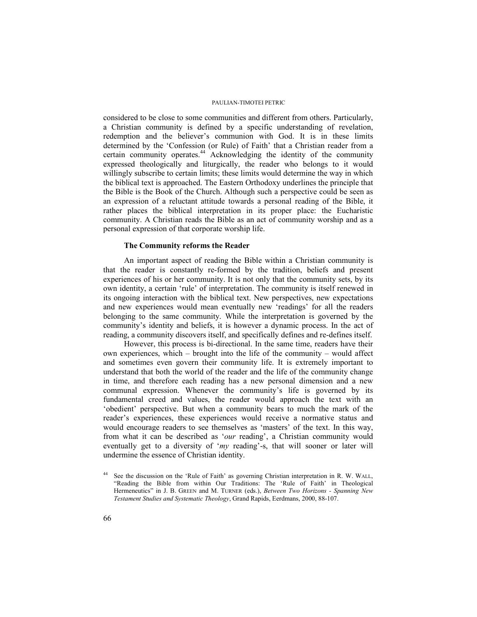considered to be close to some communities and different from others. Particularly, a Christian community is defined by a specific understanding of revelation, redemption and the believer's communion with God. It is in these limits determined by the 'Confession (or Rule) of Faith' that a Christian reader from a certain community operates.<sup>44</sup> Acknowledging the identity of the community expressed theologically and liturgically, the reader who belongs to it would willingly subscribe to certain limits; these limits would determine the way in which the biblical text is approached. The Eastern Orthodoxy underlines the principle that the Bible is the Book of the Church. Although such a perspective could be seen as an expression of a reluctant attitude towards a personal reading of the Bible, it rather places the biblical interpretation in its proper place: the Eucharistic community. A Christian reads the Bible as an act of community worship and as a personal expression of that corporate worship life.

## **The Community reforms the Reader**

An important aspect of reading the Bible within a Christian community is that the reader is constantly re-formed by the tradition, beliefs and present experiences of his or her community. It is not only that the community sets, by its own identity, a certain 'rule' of interpretation. The community is itself renewed in its ongoing interaction with the biblical text. New perspectives, new expectations and new experiences would mean eventually new 'readings' for all the readers belonging to the same community. While the interpretation is governed by the community's identity and beliefs, it is however a dynamic process. In the act of reading, a community discovers itself, and specifically defines and re-defines itself.

However, this process is bi-directional. In the same time, readers have their own experiences, which – brought into the life of the community – would affect and sometimes even govern their community life. It is extremely important to understand that both the world of the reader and the life of the community change in time, and therefore each reading has a new personal dimension and a new communal expression. Whenever the community's life is governed by its fundamental creed and values, the reader would approach the text with an 'obedient' perspective. But when a community bears to much the mark of the reader's experiences, these experiences would receive a normative status and would encourage readers to see themselves as 'masters' of the text. In this way, from what it can be described as '*our* reading', a Christian community would eventually get to a diversity of '*my* reading'-s, that will sooner or later will undermine the essence of Christian identity.

<sup>44</sup> See the discussion on the 'Rule of Faith' as governing Christian interpretation in R. W. WALL, "Reading the Bible from within Our Traditions: The 'Rule of Faith' in Theological Hermeneutics" in J. B. GREEN and M. TURNER (eds.), *Between Two Horizons - Spanning New Testament Studies and Systematic Theology*, Grand Rapids, Eerdmans, 2000, 88-107.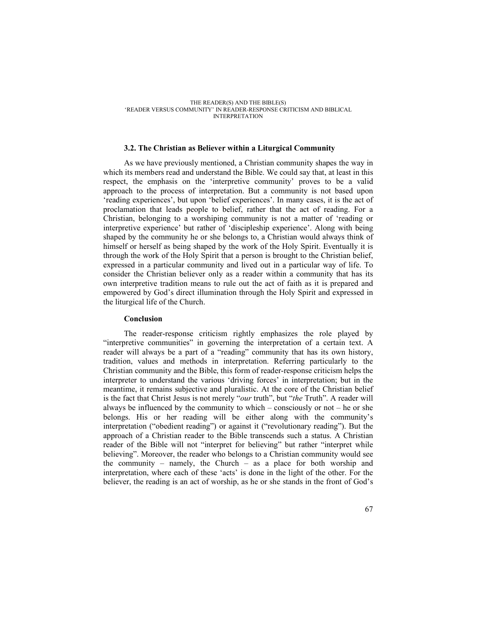### **3.2. The Christian as Believer within a Liturgical Community**

As we have previously mentioned, a Christian community shapes the way in which its members read and understand the Bible. We could say that, at least in this respect, the emphasis on the 'interpretive community' proves to be a valid approach to the process of interpretation. But a community is not based upon 'reading experiences', but upon 'belief experiences'. In many cases, it is the act of proclamation that leads people to belief, rather that the act of reading. For a Christian, belonging to a worshiping community is not a matter of 'reading or interpretive experience' but rather of 'discipleship experience'. Along with being shaped by the community he or she belongs to, a Christian would always think of himself or herself as being shaped by the work of the Holy Spirit. Eventually it is through the work of the Holy Spirit that a person is brought to the Christian belief, expressed in a particular community and lived out in a particular way of life. To consider the Christian believer only as a reader within a community that has its own interpretive tradition means to rule out the act of faith as it is prepared and empowered by God's direct illumination through the Holy Spirit and expressed in the liturgical life of the Church.

## **Conclusion**

The reader-response criticism rightly emphasizes the role played by "interpretive communities" in governing the interpretation of a certain text. A reader will always be a part of a "reading" community that has its own history, tradition, values and methods in interpretation. Referring particularly to the Christian community and the Bible, this form of reader-response criticism helps the interpreter to understand the various 'driving forces' in interpretation; but in the meantime, it remains subjective and pluralistic. At the core of the Christian belief is the fact that Christ Jesus is not merely "*our* truth", but "*the* Truth". A reader will always be influenced by the community to which – consciously or not – he or she belongs. His or her reading will be either along with the community's interpretation ("obedient reading") or against it ("revolutionary reading"). But the approach of a Christian reader to the Bible transcends such a status. A Christian reader of the Bible will not "interpret for believing" but rather "interpret while believing". Moreover, the reader who belongs to a Christian community would see the community – namely, the Church – as a place for both worship and interpretation, where each of these 'acts' is done in the light of the other. For the believer, the reading is an act of worship, as he or she stands in the front of God's